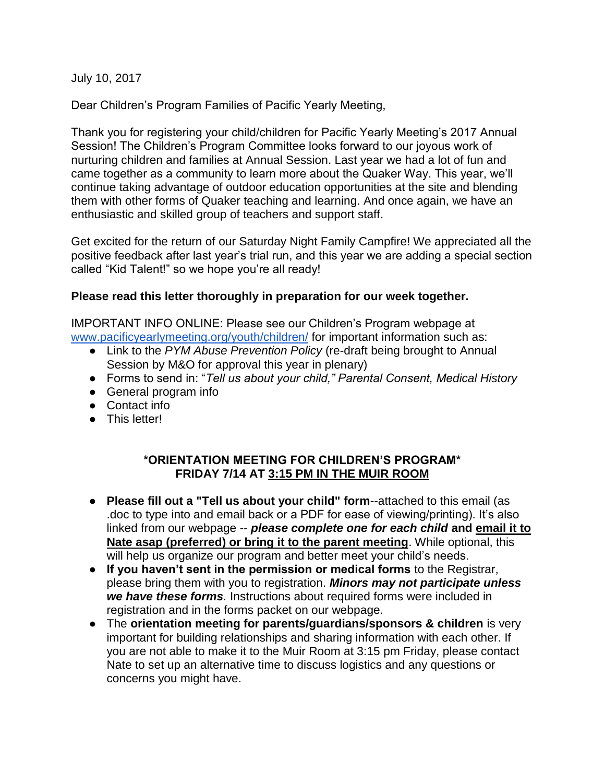July 10, 2017

Dear Children's Program Families of Pacific Yearly Meeting,

Thank you for registering your child/children for Pacific Yearly Meeting's 2017 Annual Session! The Children's Program Committee looks forward to our joyous work of nurturing children and families at Annual Session. Last year we had a lot of fun and came together as a community to learn more about the Quaker Way. This year, we'll continue taking advantage of outdoor education opportunities at the site and blending them with other forms of Quaker teaching and learning. And once again, we have an enthusiastic and skilled group of teachers and support staff.

Get excited for the return of our Saturday Night Family Campfire! We appreciated all the positive feedback after last year's trial run, and this year we are adding a special section called "Kid Talent!" so we hope you're all ready!

## **Please read this letter thoroughly in preparation for our week together.**

IMPORTANT INFO ONLINE: Please see our Children's Program webpage at [www.pacificyearlymeeting.org/youth/children/](https://www.pacificyearlymeeting.org/youth/children/) for important information such as:

- Link to the *PYM Abuse Prevention Policy* (re-draft being brought to Annual Session by M&O for approval this year in plenary)
- Forms to send in: "*Tell us about your child," Parental Consent, Medical History*
- General program info
- Contact info
- This letter!

## **\*ORIENTATION MEETING FOR CHILDREN'S PROGRAM\* FRIDAY 7/14 AT 3:15 PM IN THE MUIR ROOM**

- **Please fill out a "Tell us about your child" form**--attached to this email (as .doc to type into and email back or a PDF for ease of viewing/printing). It's also linked from our webpage -- *please complete one for each child* **and email it to Nate asap (preferred) or bring it to the parent meeting**. While optional, this will help us organize our program and better meet your child's needs.
- **If you haven't sent in the permission or medical forms** to the Registrar, please bring them with you to registration. *Minors may not participate unless we have these forms.* Instructions about required forms were included in registration and in the forms packet on our webpage.
- The **orientation meeting for parents/guardians/sponsors & children** is very important for building relationships and sharing information with each other. If you are not able to make it to the Muir Room at 3:15 pm Friday, please contact Nate to set up an alternative time to discuss logistics and any questions or concerns you might have.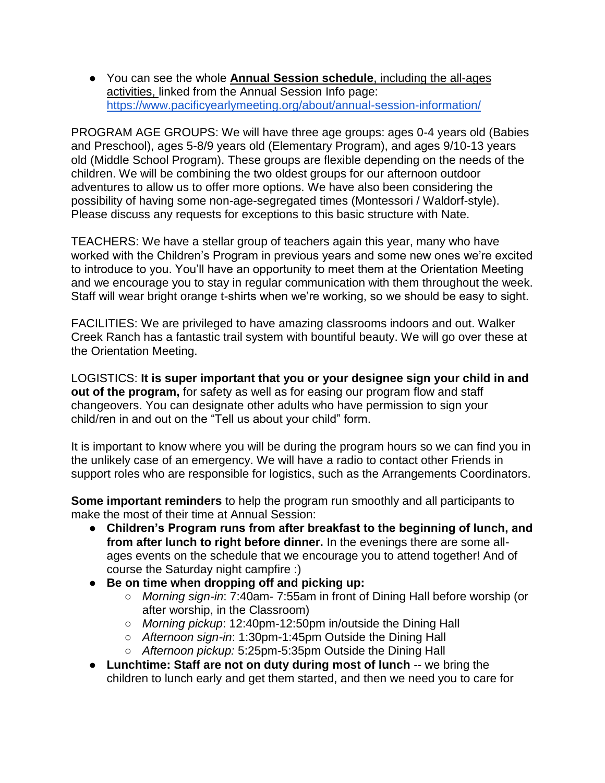● You can see the whole **Annual Session schedule**, including the all-ages activities, linked from the Annual Session Info page: <https://www.pacificyearlymeeting.org/about/annual-session-information/>

PROGRAM AGE GROUPS: We will have three age groups: ages 0-4 years old (Babies and Preschool), ages 5-8/9 years old (Elementary Program), and ages 9/10-13 years old (Middle School Program). These groups are flexible depending on the needs of the children. We will be combining the two oldest groups for our afternoon outdoor adventures to allow us to offer more options. We have also been considering the possibility of having some non-age-segregated times (Montessori / Waldorf-style). Please discuss any requests for exceptions to this basic structure with Nate.

TEACHERS: We have a stellar group of teachers again this year, many who have worked with the Children's Program in previous years and some new ones we're excited to introduce to you. You'll have an opportunity to meet them at the Orientation Meeting and we encourage you to stay in regular communication with them throughout the week. Staff will wear bright orange t-shirts when we're working, so we should be easy to sight.

FACILITIES: We are privileged to have amazing classrooms indoors and out. Walker Creek Ranch has a fantastic trail system with bountiful beauty. We will go over these at the Orientation Meeting.

LOGISTICS: **It is super important that you or your designee sign your child in and out of the program,** for safety as well as for easing our program flow and staff changeovers. You can designate other adults who have permission to sign your child/ren in and out on the "Tell us about your child" form.

It is important to know where you will be during the program hours so we can find you in the unlikely case of an emergency. We will have a radio to contact other Friends in support roles who are responsible for logistics, such as the Arrangements Coordinators.

**Some important reminders** to help the program run smoothly and all participants to make the most of their time at Annual Session:

- **Children's Program runs from after breakfast to the beginning of lunch, and from after lunch to right before dinner.** In the evenings there are some allages events on the schedule that we encourage you to attend together! And of course the Saturday night campfire :)
- **Be on time when dropping off and picking up:** 
	- *Morning sign-in*: 7:40am- 7:55am in front of Dining Hall before worship (or after worship, in the Classroom)
	- *Morning pickup*: 12:40pm-12:50pm in/outside the Dining Hall
	- *Afternoon sign-in*: 1:30pm-1:45pm Outside the Dining Hall
	- *Afternoon pickup:* 5:25pm-5:35pm Outside the Dining Hall
- **Lunchtime: Staff are not on duty during most of lunch** -- we bring the children to lunch early and get them started, and then we need you to care for